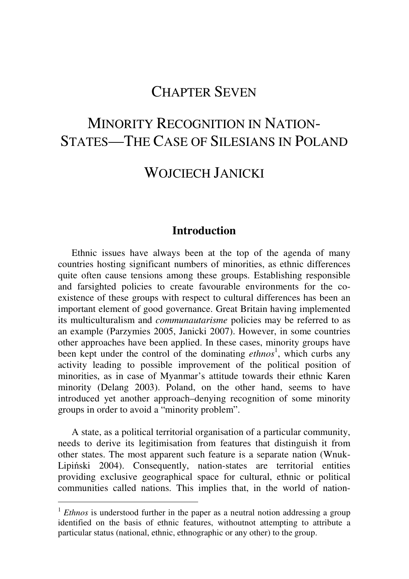## CHAPTER SEVEN

# MINORITY RECOGNITION IN NATION-STATES—THE CASE OF SILESIANS IN POLAND

### WOJCIECH JANICKI

#### **Introduction**

Ethnic issues have always been at the top of the agenda of many countries hosting significant numbers of minorities, as ethnic differences quite often cause tensions among these groups. Establishing responsible and farsighted policies to create favourable environments for the coexistence of these groups with respect to cultural differences has been an important element of good governance. Great Britain having implemented its multiculturalism and *communautarisme* policies may be referred to as an example (Parzymies 2005, Janicki 2007). However, in some countries other approaches have been applied. In these cases, minority groups have been kept under the control of the dominating *ethnos*<sup>1</sup>, which curbs any activity leading to possible improvement of the political position of minorities, as in case of Myanmar's attitude towards their ethnic Karen minority (Delang 2003). Poland, on the other hand, seems to have introduced yet another approach–denying recognition of some minority groups in order to avoid a "minority problem".

A state, as a political territorial organisation of a particular community, needs to derive its legitimisation from features that distinguish it from other states. The most apparent such feature is a separate nation (Wnuk-Lipiński 2004). Consequently, nation-states are territorial entities providing exclusive geographical space for cultural, ethnic or political communities called nations. This implies that, in the world of nation-

-

<sup>&</sup>lt;sup>1</sup> *Ethnos* is understood further in the paper as a neutral notion addressing a group identified on the basis of ethnic features, withoutnot attempting to attribute a particular status (national, ethnic, ethnographic or any other) to the group.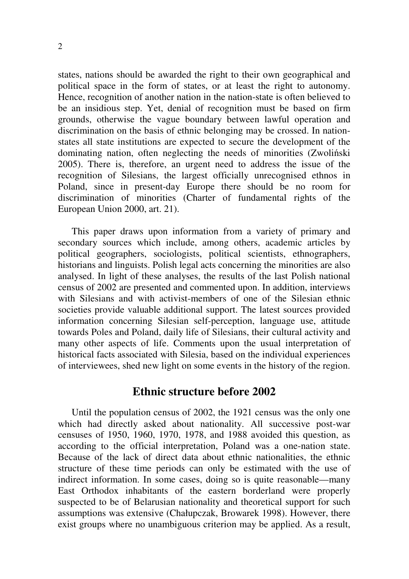states, nations should be awarded the right to their own geographical and political space in the form of states, or at least the right to autonomy. Hence, recognition of another nation in the nation-state is often believed to be an insidious step. Yet, denial of recognition must be based on firm grounds, otherwise the vague boundary between lawful operation and discrimination on the basis of ethnic belonging may be crossed. In nationstates all state institutions are expected to secure the development of the dominating nation, often neglecting the needs of minorities (Zwoliński 2005). There is, therefore, an urgent need to address the issue of the recognition of Silesians, the largest officially unrecognised ethnos in Poland, since in present-day Europe there should be no room for discrimination of minorities (Charter of fundamental rights of the European Union 2000, art. 21).

This paper draws upon information from a variety of primary and secondary sources which include, among others, academic articles by political geographers, sociologists, political scientists, ethnographers, historians and linguists. Polish legal acts concerning the minorities are also analysed. In light of these analyses, the results of the last Polish national census of 2002 are presented and commented upon. In addition, interviews with Silesians and with activist-members of one of the Silesian ethnic societies provide valuable additional support. The latest sources provided information concerning Silesian self-perception, language use, attitude towards Poles and Poland, daily life of Silesians, their cultural activity and many other aspects of life. Comments upon the usual interpretation of historical facts associated with Silesia, based on the individual experiences of interviewees, shed new light on some events in the history of the region.

#### **Ethnic structure before 2002**

Until the population census of 2002, the 1921 census was the only one which had directly asked about nationality. All successive post-war censuses of 1950, 1960, 1970, 1978, and 1988 avoided this question, as according to the official interpretation, Poland was a one-nation state. Because of the lack of direct data about ethnic nationalities, the ethnic structure of these time periods can only be estimated with the use of indirect information. In some cases, doing so is quite reasonable—many East Orthodox inhabitants of the eastern borderland were properly suspected to be of Belarusian nationality and theoretical support for such assumptions was extensive (Chałupczak, Browarek 1998). However, there exist groups where no unambiguous criterion may be applied. As a result,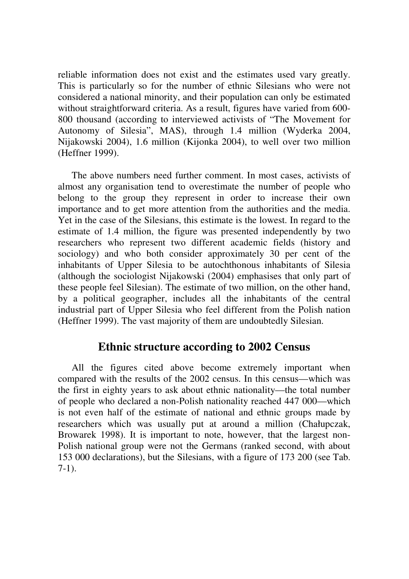reliable information does not exist and the estimates used vary greatly. This is particularly so for the number of ethnic Silesians who were not considered a national minority, and their population can only be estimated without straightforward criteria. As a result, figures have varied from 600- 800 thousand (according to interviewed activists of "The Movement for Autonomy of Silesia", MAS), through 1.4 million (Wyderka 2004, Nijakowski 2004), 1.6 million (Kijonka 2004), to well over two million (Heffner 1999).

The above numbers need further comment. In most cases, activists of almost any organisation tend to overestimate the number of people who belong to the group they represent in order to increase their own importance and to get more attention from the authorities and the media. Yet in the case of the Silesians, this estimate is the lowest. In regard to the estimate of 1.4 million, the figure was presented independently by two researchers who represent two different academic fields (history and sociology) and who both consider approximately 30 per cent of the inhabitants of Upper Silesia to be autochthonous inhabitants of Silesia (although the sociologist Nijakowski (2004) emphasises that only part of these people feel Silesian). The estimate of two million, on the other hand, by a political geographer, includes all the inhabitants of the central industrial part of Upper Silesia who feel different from the Polish nation (Heffner 1999). The vast majority of them are undoubtedly Silesian.

#### **Ethnic structure according to 2002 Census**

All the figures cited above become extremely important when compared with the results of the 2002 census. In this census—which was the first in eighty years to ask about ethnic nationality—the total number of people who declared a non-Polish nationality reached 447 000—which is not even half of the estimate of national and ethnic groups made by researchers which was usually put at around a million (Chałupczak, Browarek 1998). It is important to note, however, that the largest non-Polish national group were not the Germans (ranked second, with about 153 000 declarations), but the Silesians, with a figure of 173 200 (see Tab. 7-1).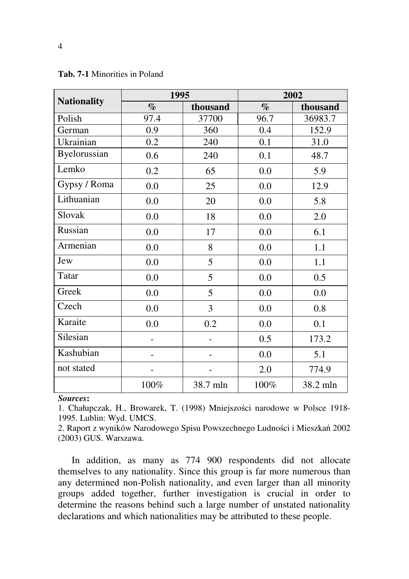| <b>Nationality</b> | 1995 |          | 2002 |          |
|--------------------|------|----------|------|----------|
|                    | $\%$ | thousand | $\%$ | thousand |
| Polish             | 97.4 | 37700    | 96.7 | 36983.7  |
| German             | 0.9  | 360      | 0.4  | 152.9    |
| Ukrainian          | 0.2  | 240      | 0.1  | 31.0     |
| Byelorussian       | 0.6  | 240      | 0.1  | 48.7     |
| Lemko              | 0.2  | 65       | 0.0  | 5.9      |
| Gypsy / Roma       | 0.0  | 25       | 0.0  | 12.9     |
| Lithuanian         | 0.0  | 20       | 0.0  | 5.8      |
| Slovak             | 0.0  | 18       | 0.0  | 2.0      |
| Russian            | 0.0  | 17       | 0.0  | 6.1      |
| Armenian           | 0.0  | 8        | 0.0  | 1.1      |
| Jew                | 0.0  | 5        | 0.0  | 1.1      |
| Tatar              | 0.0  | 5        | 0.0  | 0.5      |
| Greek              | 0.0  | 5        | 0.0  | 0.0      |
| Czech              | 0.0  | 3        | 0.0  | 0.8      |
| Karaite            | 0.0  | 0.2      | 0.0  | 0.1      |
| Silesian           |      |          | 0.5  | 173.2    |
| Kashubian          |      |          | 0.0  | 5.1      |
| not stated         |      |          | 2.0  | 774.9    |
|                    | 100% | 38.7 mln | 100% | 38.2 mln |

**Tab. 7-1** Minorities in Poland

*Sources***:** 

1. Chałupczak, H., Browarek, T. (1998) Mniejszości narodowe w Polsce 1918- 1995. Lublin: Wyd. UMCS.

2. Raport z wyników Narodowego Spisu Powszechnego Ludności i Mieszkań 2002 (2003) GUS. Warszawa.

In addition, as many as 774 900 respondents did not allocate themselves to any nationality. Since this group is far more numerous than any determined non-Polish nationality, and even larger than all minority groups added together, further investigation is crucial in order to determine the reasons behind such a large number of unstated nationality declarations and which nationalities may be attributed to these people.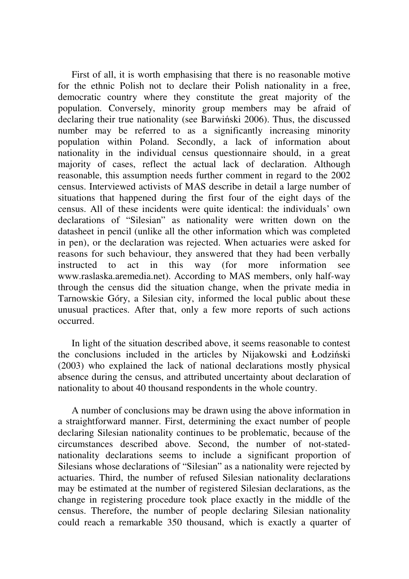First of all, it is worth emphasising that there is no reasonable motive for the ethnic Polish not to declare their Polish nationality in a free, democratic country where they constitute the great majority of the population. Conversely, minority group members may be afraid of declaring their true nationality (see Barwiński 2006). Thus, the discussed number may be referred to as a significantly increasing minority population within Poland. Secondly, a lack of information about nationality in the individual census questionnaire should, in a great majority of cases, reflect the actual lack of declaration. Although reasonable, this assumption needs further comment in regard to the 2002 census. Interviewed activists of MAS describe in detail a large number of situations that happened during the first four of the eight days of the census. All of these incidents were quite identical: the individuals' own declarations of "Silesian" as nationality were written down on the datasheet in pencil (unlike all the other information which was completed in pen), or the declaration was rejected. When actuaries were asked for reasons for such behaviour, they answered that they had been verbally instructed to act in this way (for more information see www.raslaska.aremedia.net). According to MAS members, only half-way through the census did the situation change, when the private media in Tarnowskie Góry, a Silesian city, informed the local public about these unusual practices. After that, only a few more reports of such actions occurred.

In light of the situation described above, it seems reasonable to contest the conclusions included in the articles by Nijakowski and Łodziński (2003) who explained the lack of national declarations mostly physical absence during the census, and attributed uncertainty about declaration of nationality to about 40 thousand respondents in the whole country.

A number of conclusions may be drawn using the above information in a straightforward manner. First, determining the exact number of people declaring Silesian nationality continues to be problematic, because of the circumstances described above. Second, the number of not-statednationality declarations seems to include a significant proportion of Silesians whose declarations of "Silesian" as a nationality were rejected by actuaries. Third, the number of refused Silesian nationality declarations may be estimated at the number of registered Silesian declarations, as the change in registering procedure took place exactly in the middle of the census. Therefore, the number of people declaring Silesian nationality could reach a remarkable 350 thousand, which is exactly a quarter of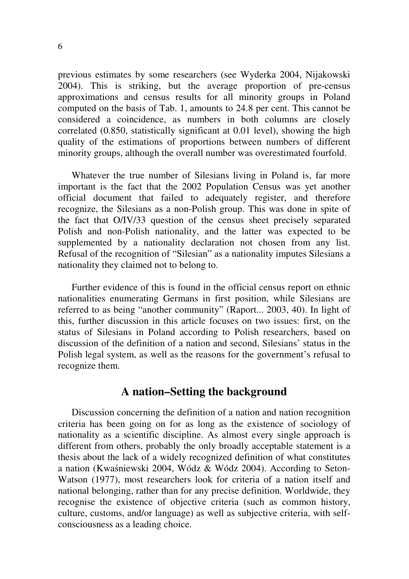previous estimates by some researchers (see Wyderka 2004, Nijakowski 2004). This is striking, but the average proportion of pre-census approximations and census results for all minority groups in Poland computed on the basis of Tab. 1, amounts to 24.8 per cent. This cannot be considered a coincidence, as numbers in both columns are closely correlated (0.850, statistically significant at 0.01 level), showing the high quality of the estimations of proportions between numbers of different minority groups, although the overall number was overestimated fourfold.

Whatever the true number of Silesians living in Poland is, far more important is the fact that the 2002 Population Census was yet another official document that failed to adequately register, and therefore recognize, the Silesians as a non-Polish group. This was done in spite of the fact that O/IV/33 question of the census sheet precisely separated Polish and non-Polish nationality, and the latter was expected to be supplemented by a nationality declaration not chosen from any list. Refusal of the recognition of "Silesian" as a nationality imputes Silesians a nationality they claimed not to belong to.

Further evidence of this is found in the official census report on ethnic nationalities enumerating Germans in first position, while Silesians are referred to as being "another community" (Raport... 2003, 40). In light of this, further discussion in this article focuses on two issues: first, on the status of Silesians in Poland according to Polish researchers, based on discussion of the definition of a nation and second, Silesians' status in the Polish legal system, as well as the reasons for the government's refusal to recognize them.

#### **A nation–Setting the background**

Discussion concerning the definition of a nation and nation recognition criteria has been going on for as long as the existence of sociology of nationality as a scientific discipline. As almost every single approach is different from others, probably the only broadly acceptable statement is a thesis about the lack of a widely recognized definition of what constitutes a nation (Kwaśniewski 2004, Wódz & Wódz 2004). According to Seton-Watson (1977), most researchers look for criteria of a nation itself and national belonging, rather than for any precise definition. Worldwide, they recognise the existence of objective criteria (such as common history, culture, customs, and/or language) as well as subjective criteria, with selfconsciousness as a leading choice.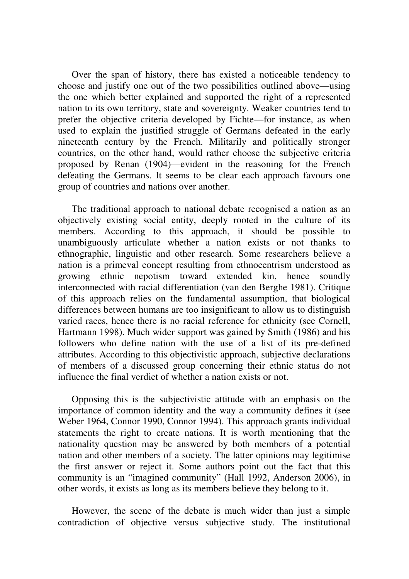Over the span of history, there has existed a noticeable tendency to choose and justify one out of the two possibilities outlined above—using the one which better explained and supported the right of a represented nation to its own territory, state and sovereignty. Weaker countries tend to prefer the objective criteria developed by Fichte—for instance, as when used to explain the justified struggle of Germans defeated in the early nineteenth century by the French. Militarily and politically stronger countries, on the other hand, would rather choose the subjective criteria proposed by Renan (1904)—evident in the reasoning for the French defeating the Germans. It seems to be clear each approach favours one group of countries and nations over another.

The traditional approach to national debate recognised a nation as an objectively existing social entity, deeply rooted in the culture of its members. According to this approach, it should be possible to unambiguously articulate whether a nation exists or not thanks to ethnographic, linguistic and other research. Some researchers believe a nation is a primeval concept resulting from ethnocentrism understood as growing ethnic nepotism toward extended kin, hence soundly interconnected with racial differentiation (van den Berghe 1981). Critique of this approach relies on the fundamental assumption, that biological differences between humans are too insignificant to allow us to distinguish varied races, hence there is no racial reference for ethnicity (see Cornell, Hartmann 1998). Much wider support was gained by Smith (1986) and his followers who define nation with the use of a list of its pre-defined attributes. According to this objectivistic approach, subjective declarations of members of a discussed group concerning their ethnic status do not influence the final verdict of whether a nation exists or not.

Opposing this is the subjectivistic attitude with an emphasis on the importance of common identity and the way a community defines it (see Weber 1964, Connor 1990, Connor 1994). This approach grants individual statements the right to create nations. It is worth mentioning that the nationality question may be answered by both members of a potential nation and other members of a society. The latter opinions may legitimise the first answer or reject it. Some authors point out the fact that this community is an "imagined community" (Hall 1992, Anderson 2006), in other words, it exists as long as its members believe they belong to it.

However, the scene of the debate is much wider than just a simple contradiction of objective versus subjective study. The institutional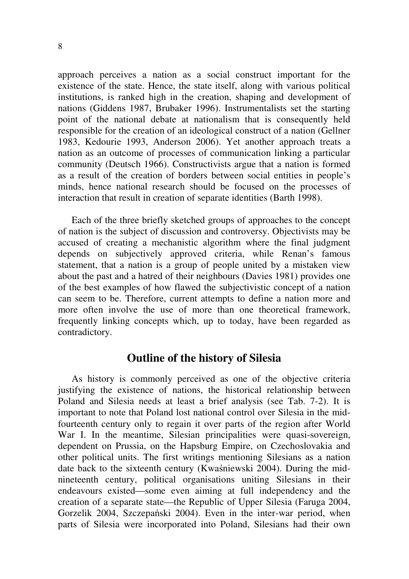approach perceives a nation as a social construct important for the existence of the state. Hence, the state itself, along with various political institutions, is ranked high in the creation, shaping and development of nations (Giddens 1987, Brubaker 1996). Instrumentalists set the starting point of the national debate at nationalism that is consequently held responsible for the creation of an ideological construct of a nation (Gellner 1983, Kedourie 1993, Anderson 2006). Yet another approach treats a nation as an outcome of processes of communication linking a particular community (Deutsch 1966). Constructivists argue that a nation is formed as a result of the creation of borders between social entities in people's minds, hence national research should be focused on the processes of interaction that result in creation of separate identities (Barth 1998).

Each of the three briefly sketched groups of approaches to the concept of nation is the subject of discussion and controversy. Objectivists may be accused of creating a mechanistic algorithm where the final judgment depends on subjectively approved criteria, while Renan's famous statement, that a nation is a group of people united by a mistaken view about the past and a hatred of their neighbours (Davies 1981) provides one of the best examples of how flawed the subjectivistic concept of a nation can seem to be. Therefore, current attempts to define a nation more and more often involve the use of more than one theoretical framework, frequently linking concepts which, up to today, have been regarded as contradictory.

#### **Outline of the history of Silesia**

As history is commonly perceived as one of the objective criteria justifying the existence of nations, the historical relationship between Poland and Silesia needs at least a brief analysis (see Tab. 7-2). It is important to note that Poland lost national control over Silesia in the midfourteenth century only to regain it over parts of the region after World War I. In the meantime, Silesian principalities were quasi-sovereign, dependent on Prussia, on the Hapsburg Empire, on Czechoslovakia and other political units. The first writings mentioning Silesians as a nation date back to the sixteenth century (Kwaśniewski 2004). During the midnineteenth century, political organisations uniting Silesians in their endeavours existed—some even aiming at full independency and the creation of a separate state—the Republic of Upper Silesia (Faruga 2004, Gorzelik 2004, Szczepański 2004). Even in the inter-war period, when parts of Silesia were incorporated into Poland, Silesians had their own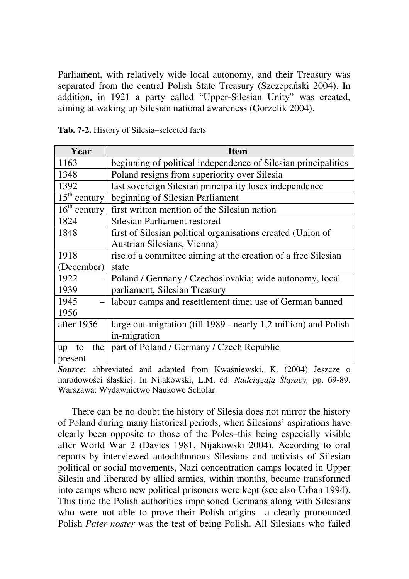Parliament, with relatively wide local autonomy, and their Treasury was separated from the central Polish State Treasury (Szczepański 2004). In addition, in 1921 a party called "Upper-Silesian Unity" was created, aiming at waking up Silesian national awareness (Gorzelik 2004).

| Year                                  | Item                                                            |  |  |  |
|---------------------------------------|-----------------------------------------------------------------|--|--|--|
| 1163                                  | beginning of political independence of Silesian principalities  |  |  |  |
| 1348                                  | Poland resigns from superiority over Silesia                    |  |  |  |
| 1392                                  | last sovereign Silesian principality loses independence         |  |  |  |
| $15^{\text{th}}$<br>century           | beginning of Silesian Parliament                                |  |  |  |
| $\overline{16}$ <sup>th</sup> century | first written mention of the Silesian nation                    |  |  |  |
| 1824                                  | Silesian Parliament restored                                    |  |  |  |
| 1848                                  | first of Silesian political organisations created (Union of     |  |  |  |
|                                       | Austrian Silesians, Vienna)                                     |  |  |  |
| 1918                                  | rise of a committee aiming at the creation of a free Silesian   |  |  |  |
| (December)                            | state                                                           |  |  |  |
| 1922                                  | Poland / Germany / Czechoslovakia; wide autonomy, local         |  |  |  |
| 1939                                  | parliament, Silesian Treasury                                   |  |  |  |
| 1945                                  | labour camps and resettlement time; use of German banned        |  |  |  |
| 1956                                  |                                                                 |  |  |  |
| after $1956$                          | large out-migration (till 1989 - nearly 1,2 million) and Polish |  |  |  |
|                                       | in-migration                                                    |  |  |  |
| the 1<br>to<br>up                     | part of Poland / Germany / Czech Republic                       |  |  |  |
| present                               |                                                                 |  |  |  |

**Tab. 7-2.** History of Silesia–selected facts

*Source***:** abbreviated and adapted from Kwaśniewski, K. (2004) Jeszcze o narodowości śląskiej. In Nijakowski, L.M. ed. *Nadci*ą*gaj*ą Ś*l*ą*zacy,* pp. 69-89. Warszawa: Wydawnictwo Naukowe Scholar.

There can be no doubt the history of Silesia does not mirror the history of Poland during many historical periods, when Silesians' aspirations have clearly been opposite to those of the Poles–this being especially visible after World War 2 (Davies 1981, Nijakowski 2004). According to oral reports by interviewed autochthonous Silesians and activists of Silesian political or social movements, Nazi concentration camps located in Upper Silesia and liberated by allied armies, within months, became transformed into camps where new political prisoners were kept (see also Urban 1994). This time the Polish authorities imprisoned Germans along with Silesians who were not able to prove their Polish origins—a clearly pronounced Polish *Pater noster* was the test of being Polish. All Silesians who failed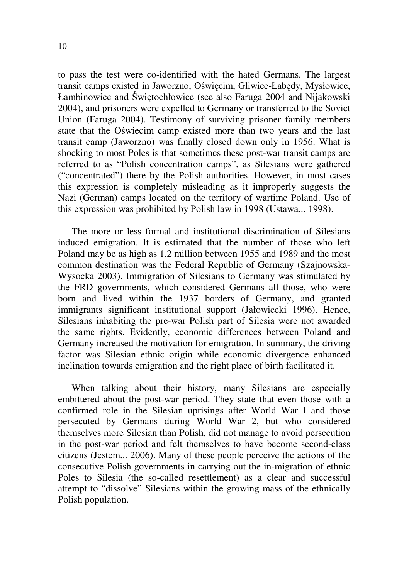to pass the test were co-identified with the hated Germans. The largest transit camps existed in Jaworzno, Oświęcim, Gliwice-Łabędy, Mysłowice, Łambinowice and Świętochłowice (see also Faruga 2004 and Nijakowski 2004), and prisoners were expelled to Germany or transferred to the Soviet Union (Faruga 2004). Testimony of surviving prisoner family members state that the Oświecim camp existed more than two years and the last transit camp (Jaworzno) was finally closed down only in 1956. What is shocking to most Poles is that sometimes these post-war transit camps are referred to as "Polish concentration camps", as Silesians were gathered ("concentrated") there by the Polish authorities. However, in most cases this expression is completely misleading as it improperly suggests the Nazi (German) camps located on the territory of wartime Poland. Use of this expression was prohibited by Polish law in 1998 (Ustawa... 1998).

The more or less formal and institutional discrimination of Silesians induced emigration. It is estimated that the number of those who left Poland may be as high as 1.2 million between 1955 and 1989 and the most common destination was the Federal Republic of Germany (Szajnowska-Wysocka 2003). Immigration of Silesians to Germany was stimulated by the FRD governments, which considered Germans all those, who were born and lived within the 1937 borders of Germany, and granted immigrants significant institutional support (Jałowiecki 1996). Hence, Silesians inhabiting the pre-war Polish part of Silesia were not awarded the same rights. Evidently, economic differences between Poland and Germany increased the motivation for emigration. In summary, the driving factor was Silesian ethnic origin while economic divergence enhanced inclination towards emigration and the right place of birth facilitated it.

When talking about their history, many Silesians are especially embittered about the post-war period. They state that even those with a confirmed role in the Silesian uprisings after World War I and those persecuted by Germans during World War 2, but who considered themselves more Silesian than Polish, did not manage to avoid persecution in the post-war period and felt themselves to have become second-class citizens (Jestem... 2006). Many of these people perceive the actions of the consecutive Polish governments in carrying out the in-migration of ethnic Poles to Silesia (the so-called resettlement) as a clear and successful attempt to "dissolve" Silesians within the growing mass of the ethnically Polish population.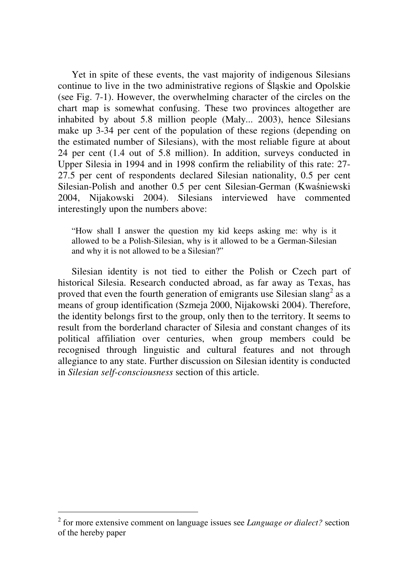Yet in spite of these events, the vast majority of indigenous Silesians continue to live in the two administrative regions of Śląskie and Opolskie (see Fig. 7-1). However, the overwhelming character of the circles on the chart map is somewhat confusing. These two provinces altogether are inhabited by about 5.8 million people (Mały... 2003), hence Silesians make up 3-34 per cent of the population of these regions (depending on the estimated number of Silesians), with the most reliable figure at about 24 per cent (1.4 out of 5.8 million). In addition, surveys conducted in Upper Silesia in 1994 and in 1998 confirm the reliability of this rate: 27- 27.5 per cent of respondents declared Silesian nationality, 0.5 per cent Silesian-Polish and another 0.5 per cent Silesian-German (Kwaśniewski 2004, Nijakowski 2004). Silesians interviewed have commented interestingly upon the numbers above:

"How shall I answer the question my kid keeps asking me: why is it allowed to be a Polish-Silesian, why is it allowed to be a German-Silesian and why it is not allowed to be a Silesian?"

Silesian identity is not tied to either the Polish or Czech part of historical Silesia. Research conducted abroad, as far away as Texas, has proved that even the fourth generation of emigrants use Silesian slang<sup>2</sup> as a means of group identification (Szmeja 2000, Nijakowski 2004). Therefore, the identity belongs first to the group, only then to the territory. It seems to result from the borderland character of Silesia and constant changes of its political affiliation over centuries, when group members could be recognised through linguistic and cultural features and not through allegiance to any state. Further discussion on Silesian identity is conducted in *Silesian self-consciousness* section of this article.

 2 for more extensive comment on language issues see *Language or dialect?* section of the hereby paper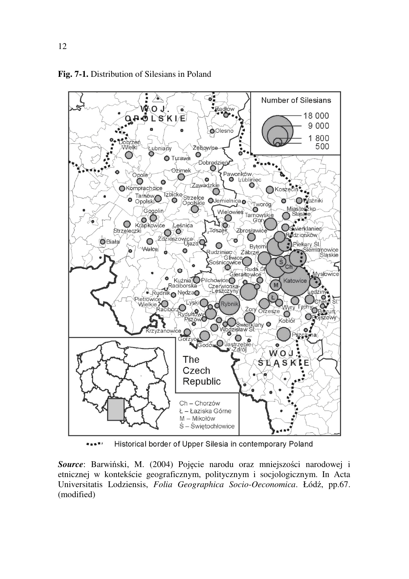

**Fig. 7-1.** Distribution of Silesians in Poland

.... Historical border of Upper Silesia in contemporary Poland

*Source*: Barwiński, M. (2004) Pojęcie narodu oraz mniejszości narodowej i etnicznej w kontekście geograficznym, politycznym i socjologicznym. In Acta Universitatis Lodziensis, *Folia Geographica Socio-Oeconomica*. Łódź, pp.67. (modified)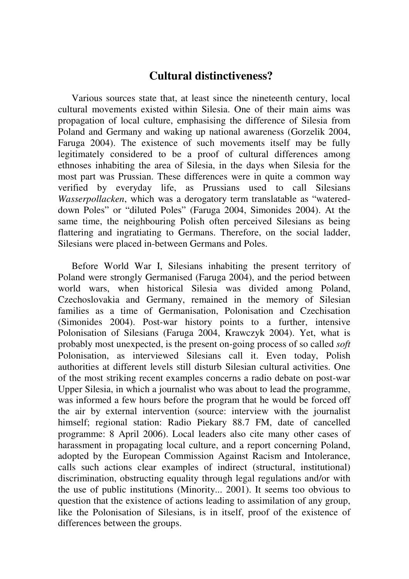#### **Cultural distinctiveness?**

Various sources state that, at least since the nineteenth century, local cultural movements existed within Silesia. One of their main aims was propagation of local culture, emphasising the difference of Silesia from Poland and Germany and waking up national awareness (Gorzelik 2004, Faruga 2004). The existence of such movements itself may be fully legitimately considered to be a proof of cultural differences among ethnoses inhabiting the area of Silesia, in the days when Silesia for the most part was Prussian. These differences were in quite a common way verified by everyday life, as Prussians used to call Silesians *Wasserpollacken*, which was a derogatory term translatable as "watereddown Poles" or "diluted Poles" (Faruga 2004, Simonides 2004). At the same time, the neighbouring Polish often perceived Silesians as being flattering and ingratiating to Germans. Therefore, on the social ladder, Silesians were placed in-between Germans and Poles.

Before World War I, Silesians inhabiting the present territory of Poland were strongly Germanised (Faruga 2004), and the period between world wars, when historical Silesia was divided among Poland, Czechoslovakia and Germany, remained in the memory of Silesian families as a time of Germanisation, Polonisation and Czechisation (Simonides 2004). Post-war history points to a further, intensive Polonisation of Silesians (Faruga 2004, Krawczyk 2004). Yet, what is probably most unexpected, is the present on-going process of so called *soft*  Polonisation, as interviewed Silesians call it. Even today, Polish authorities at different levels still disturb Silesian cultural activities. One of the most striking recent examples concerns a radio debate on post-war Upper Silesia, in which a journalist who was about to lead the programme, was informed a few hours before the program that he would be forced off the air by external intervention (source: interview with the journalist himself; regional station: Radio Piekary 88.7 FM, date of cancelled programme: 8 April 2006). Local leaders also cite many other cases of harassment in propagating local culture, and a report concerning Poland, adopted by the European Commission Against Racism and Intolerance, calls such actions clear examples of indirect (structural, institutional) discrimination, obstructing equality through legal regulations and/or with the use of public institutions (Minority... 2001). It seems too obvious to question that the existence of actions leading to assimilation of any group, like the Polonisation of Silesians, is in itself, proof of the existence of differences between the groups.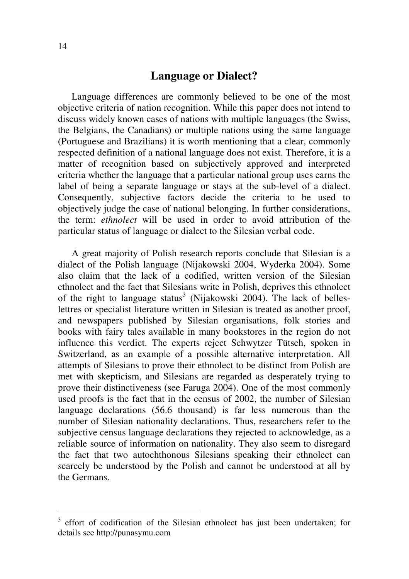#### **Language or Dialect?**

Language differences are commonly believed to be one of the most objective criteria of nation recognition. While this paper does not intend to discuss widely known cases of nations with multiple languages (the Swiss, the Belgians, the Canadians) or multiple nations using the same language (Portuguese and Brazilians) it is worth mentioning that a clear, commonly respected definition of a national language does not exist. Therefore, it is a matter of recognition based on subjectively approved and interpreted criteria whether the language that a particular national group uses earns the label of being a separate language or stays at the sub-level of a dialect. Consequently, subjective factors decide the criteria to be used to objectively judge the case of national belonging. In further considerations, the term: *ethnolect* will be used in order to avoid attribution of the particular status of language or dialect to the Silesian verbal code.

A great majority of Polish research reports conclude that Silesian is a dialect of the Polish language (Nijakowski 2004, Wyderka 2004). Some also claim that the lack of a codified, written version of the Silesian ethnolect and the fact that Silesians write in Polish, deprives this ethnolect of the right to language status<sup>3</sup> (Nijakowski 2004). The lack of belleslettres or specialist literature written in Silesian is treated as another proof, and newspapers published by Silesian organisations, folk stories and books with fairy tales available in many bookstores in the region do not influence this verdict. The experts reject Schwytzer Tütsch, spoken in Switzerland, as an example of a possible alternative interpretation. All attempts of Silesians to prove their ethnolect to be distinct from Polish are met with skepticism, and Silesians are regarded as desperately trying to prove their distinctiveness (see Faruga 2004). One of the most commonly used proofs is the fact that in the census of 2002, the number of Silesian language declarations (56.6 thousand) is far less numerous than the number of Silesian nationality declarations. Thus, researchers refer to the subjective census language declarations they rejected to acknowledge, as a reliable source of information on nationality. They also seem to disregard the fact that two autochthonous Silesians speaking their ethnolect can scarcely be understood by the Polish and cannot be understood at all by the Germans.

-

<sup>3</sup> effort of codification of the Silesian ethnolect has just been undertaken; for details see http://punasymu.com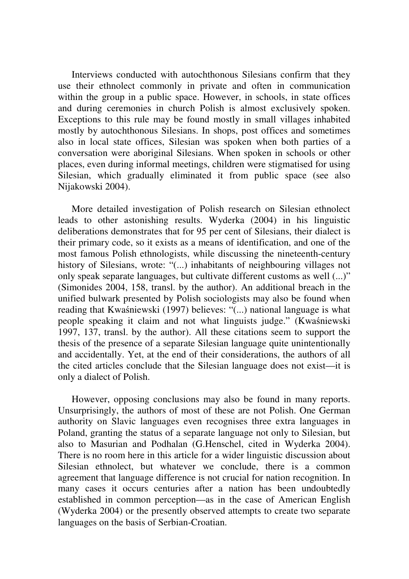Interviews conducted with autochthonous Silesians confirm that they use their ethnolect commonly in private and often in communication within the group in a public space. However, in schools, in state offices and during ceremonies in church Polish is almost exclusively spoken. Exceptions to this rule may be found mostly in small villages inhabited mostly by autochthonous Silesians. In shops, post offices and sometimes also in local state offices, Silesian was spoken when both parties of a conversation were aboriginal Silesians. When spoken in schools or other places, even during informal meetings, children were stigmatised for using Silesian, which gradually eliminated it from public space (see also Nijakowski 2004).

More detailed investigation of Polish research on Silesian ethnolect leads to other astonishing results. Wyderka (2004) in his linguistic deliberations demonstrates that for 95 per cent of Silesians, their dialect is their primary code, so it exists as a means of identification, and one of the most famous Polish ethnologists, while discussing the nineteenth-century history of Silesians, wrote: "(...) inhabitants of neighbouring villages not only speak separate languages, but cultivate different customs as well (...)" (Simonides 2004, 158, transl. by the author). An additional breach in the unified bulwark presented by Polish sociologists may also be found when reading that Kwaśniewski (1997) believes: "(...) national language is what people speaking it claim and not what linguists judge." (Kwaśniewski 1997, 137, transl. by the author). All these citations seem to support the thesis of the presence of a separate Silesian language quite unintentionally and accidentally. Yet, at the end of their considerations, the authors of all the cited articles conclude that the Silesian language does not exist—it is only a dialect of Polish.

However, opposing conclusions may also be found in many reports. Unsurprisingly, the authors of most of these are not Polish. One German authority on Slavic languages even recognises three extra languages in Poland, granting the status of a separate language not only to Silesian, but also to Masurian and Podhalan (G.Henschel, cited in Wyderka 2004). There is no room here in this article for a wider linguistic discussion about Silesian ethnolect, but whatever we conclude, there is a common agreement that language difference is not crucial for nation recognition. In many cases it occurs centuries after a nation has been undoubtedly established in common perception—as in the case of American English (Wyderka 2004) or the presently observed attempts to create two separate languages on the basis of Serbian-Croatian.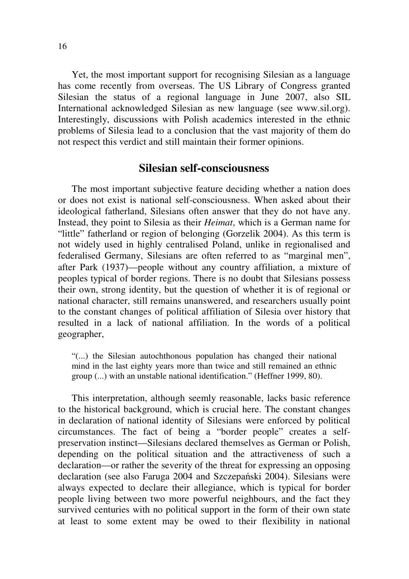Yet, the most important support for recognising Silesian as a language has come recently from overseas. The US Library of Congress granted Silesian the status of a regional language in June 2007, also SIL International acknowledged Silesian as new language (see www.sil.org). Interestingly, discussions with Polish academics interested in the ethnic problems of Silesia lead to a conclusion that the vast majority of them do not respect this verdict and still maintain their former opinions.

#### **Silesian self-consciousness**

The most important subjective feature deciding whether a nation does or does not exist is national self-consciousness. When asked about their ideological fatherland, Silesians often answer that they do not have any. Instead, they point to Silesia as their *Heimat*, which is a German name for "little" fatherland or region of belonging (Gorzelik 2004). As this term is not widely used in highly centralised Poland, unlike in regionalised and federalised Germany, Silesians are often referred to as "marginal men", after Park (1937)—people without any country affiliation, a mixture of peoples typical of border regions. There is no doubt that Silesians possess their own, strong identity, but the question of whether it is of regional or national character, still remains unanswered, and researchers usually point to the constant changes of political affiliation of Silesia over history that resulted in a lack of national affiliation. In the words of a political geographer,

"(...) the Silesian autochthonous population has changed their national mind in the last eighty years more than twice and still remained an ethnic group (...) with an unstable national identification." (Heffner 1999, 80).

This interpretation, although seemly reasonable, lacks basic reference to the historical background, which is crucial here. The constant changes in declaration of national identity of Silesians were enforced by political circumstances. The fact of being a "border people" creates a selfpreservation instinct—Silesians declared themselves as German or Polish, depending on the political situation and the attractiveness of such a declaration—or rather the severity of the threat for expressing an opposing declaration (see also Faruga 2004 and Szczepański 2004). Silesians were always expected to declare their allegiance, which is typical for border people living between two more powerful neighbours, and the fact they survived centuries with no political support in the form of their own state at least to some extent may be owed to their flexibility in national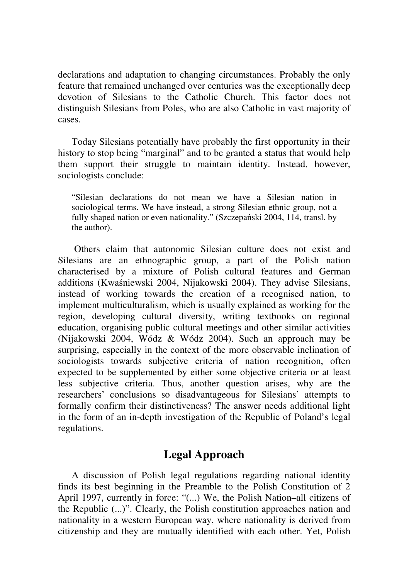declarations and adaptation to changing circumstances. Probably the only feature that remained unchanged over centuries was the exceptionally deep devotion of Silesians to the Catholic Church. This factor does not distinguish Silesians from Poles, who are also Catholic in vast majority of cases.

Today Silesians potentially have probably the first opportunity in their history to stop being "marginal" and to be granted a status that would help them support their struggle to maintain identity. Instead, however, sociologists conclude:

"Silesian declarations do not mean we have a Silesian nation in sociological terms. We have instead, a strong Silesian ethnic group, not a fully shaped nation or even nationality." (Szczepański 2004, 114, transl. by the author).

 Others claim that autonomic Silesian culture does not exist and Silesians are an ethnographic group, a part of the Polish nation characterised by a mixture of Polish cultural features and German additions (Kwaśniewski 2004, Nijakowski 2004). They advise Silesians, instead of working towards the creation of a recognised nation, to implement multiculturalism, which is usually explained as working for the region, developing cultural diversity, writing textbooks on regional education, organising public cultural meetings and other similar activities (Nijakowski 2004, Wódz & Wódz 2004). Such an approach may be surprising, especially in the context of the more observable inclination of sociologists towards subjective criteria of nation recognition, often expected to be supplemented by either some objective criteria or at least less subjective criteria. Thus, another question arises, why are the researchers' conclusions so disadvantageous for Silesians' attempts to formally confirm their distinctiveness? The answer needs additional light in the form of an in-depth investigation of the Republic of Poland's legal regulations.

### **Legal Approach**

A discussion of Polish legal regulations regarding national identity finds its best beginning in the Preamble to the Polish Constitution of 2 April 1997, currently in force: "(...) We, the Polish Nation–all citizens of the Republic (...)". Clearly, the Polish constitution approaches nation and nationality in a western European way, where nationality is derived from citizenship and they are mutually identified with each other. Yet, Polish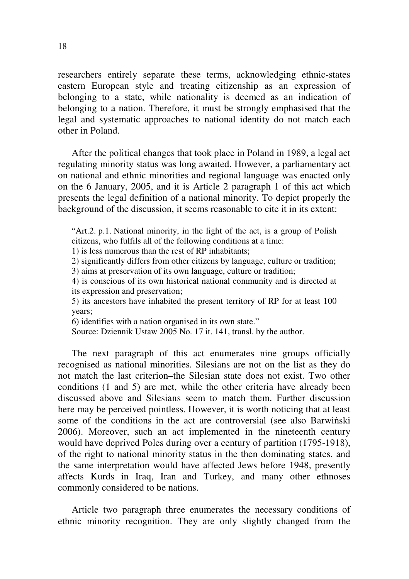researchers entirely separate these terms, acknowledging ethnic-states eastern European style and treating citizenship as an expression of belonging to a state, while nationality is deemed as an indication of belonging to a nation. Therefore, it must be strongly emphasised that the legal and systematic approaches to national identity do not match each other in Poland.

After the political changes that took place in Poland in 1989, a legal act regulating minority status was long awaited. However, a parliamentary act on national and ethnic minorities and regional language was enacted only on the 6 January, 2005, and it is Article 2 paragraph 1 of this act which presents the legal definition of a national minority. To depict properly the background of the discussion, it seems reasonable to cite it in its extent:

"Art.2. p.1. National minority, in the light of the act, is a group of Polish citizens, who fulfils all of the following conditions at a time:

1) is less numerous than the rest of RP inhabitants;

2) significantly differs from other citizens by language, culture or tradition;

3) aims at preservation of its own language, culture or tradition;

4) is conscious of its own historical national community and is directed at its expression and preservation;

5) its ancestors have inhabited the present territory of RP for at least 100 years;

6) identifies with a nation organised in its own state."

Source: Dziennik Ustaw 2005 No. 17 it. 141, transl. by the author.

The next paragraph of this act enumerates nine groups officially recognised as national minorities. Silesians are not on the list as they do not match the last criterion–the Silesian state does not exist. Two other conditions (1 and 5) are met, while the other criteria have already been discussed above and Silesians seem to match them. Further discussion here may be perceived pointless. However, it is worth noticing that at least some of the conditions in the act are controversial (see also Barwiński 2006). Moreover, such an act implemented in the nineteenth century would have deprived Poles during over a century of partition (1795-1918), of the right to national minority status in the then dominating states, and the same interpretation would have affected Jews before 1948, presently affects Kurds in Iraq, Iran and Turkey, and many other ethnoses commonly considered to be nations.

Article two paragraph three enumerates the necessary conditions of ethnic minority recognition. They are only slightly changed from the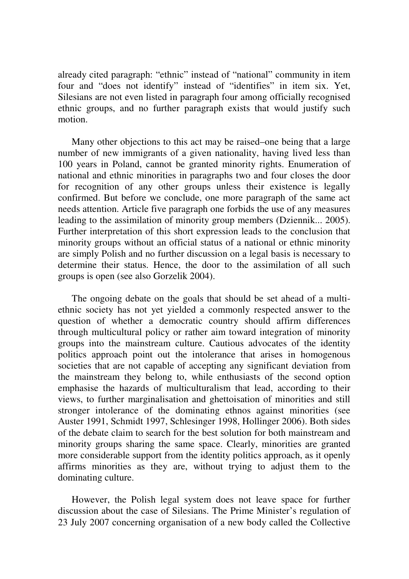already cited paragraph: "ethnic" instead of "national" community in item four and "does not identify" instead of "identifies" in item six. Yet, Silesians are not even listed in paragraph four among officially recognised ethnic groups, and no further paragraph exists that would justify such motion.

Many other objections to this act may be raised–one being that a large number of new immigrants of a given nationality, having lived less than 100 years in Poland, cannot be granted minority rights. Enumeration of national and ethnic minorities in paragraphs two and four closes the door for recognition of any other groups unless their existence is legally confirmed. But before we conclude, one more paragraph of the same act needs attention. Article five paragraph one forbids the use of any measures leading to the assimilation of minority group members (Dziennik... 2005). Further interpretation of this short expression leads to the conclusion that minority groups without an official status of a national or ethnic minority are simply Polish and no further discussion on a legal basis is necessary to determine their status. Hence, the door to the assimilation of all such groups is open (see also Gorzelik 2004).

The ongoing debate on the goals that should be set ahead of a multiethnic society has not yet yielded a commonly respected answer to the question of whether a democratic country should affirm differences through multicultural policy or rather aim toward integration of minority groups into the mainstream culture. Cautious advocates of the identity politics approach point out the intolerance that arises in homogenous societies that are not capable of accepting any significant deviation from the mainstream they belong to, while enthusiasts of the second option emphasise the hazards of multiculturalism that lead, according to their views, to further marginalisation and ghettoisation of minorities and still stronger intolerance of the dominating ethnos against minorities (see Auster 1991, Schmidt 1997, Schlesinger 1998, Hollinger 2006). Both sides of the debate claim to search for the best solution for both mainstream and minority groups sharing the same space. Clearly, minorities are granted more considerable support from the identity politics approach, as it openly affirms minorities as they are, without trying to adjust them to the dominating culture.

However, the Polish legal system does not leave space for further discussion about the case of Silesians. The Prime Minister's regulation of 23 July 2007 concerning organisation of a new body called the Collective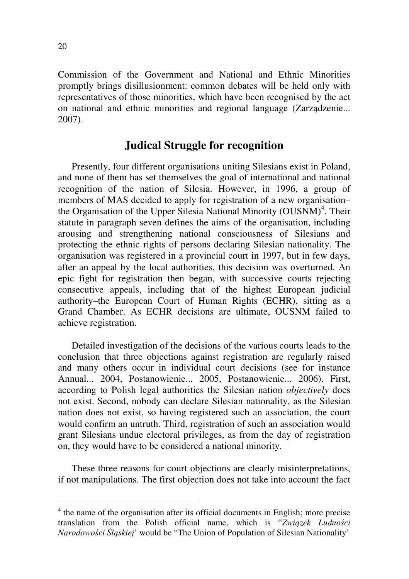Commission of the Government and National and Ethnic Minorities promptly brings disillusionment: common debates will be held only with representatives of those minorities, which have been recognised by the act on national and ethnic minorities and regional language (Zarządzenie... 2007).

#### **Judical Struggle for recognition**

Presently, four different organisations uniting Silesians exist in Poland, and none of them has set themselves the goal of international and national recognition of the nation of Silesia. However, in 1996, a group of members of MAS decided to apply for registration of a new organisation– the Organisation of the Upper Silesia National Minority (OUSNM)<sup>4</sup>. Their statute in paragraph seven defines the aims of the organisation, including arousing and strengthening national consciousness of Silesians and protecting the ethnic rights of persons declaring Silesian nationality. The organisation was registered in a provincial court in 1997, but in few days, after an appeal by the local authorities, this decision was overturned. An epic fight for registration then began, with successive courts rejecting consecutive appeals, including that of the highest European judicial authority–the European Court of Human Rights (ECHR), sitting as a Grand Chamber. As ECHR decisions are ultimate, OUSNM failed to achieve registration.

Detailed investigation of the decisions of the various courts leads to the conclusion that three objections against registration are regularly raised and many others occur in individual court decisions (see for instance Annual... 2004, Postanowienie... 2005, Postanowienie... 2006). First, according to Polish legal authorities the Silesian nation *objectively* does not exist. Second, nobody can declare Silesian nationality, as the Silesian nation does not exist, so having registered such an association, the court would confirm an untruth. Third, registration of such an association would grant Silesians undue electoral privileges, as from the day of registration on, they would have to be considered a national minority.

These three reasons for court objections are clearly misinterpretations, if not manipulations. The first objection does not take into account the fact

<sup>&</sup>lt;sup>4</sup> the name of the organisation after its official documents in English; more precise translation from the Polish official name, which is "*Zwi*ą*zek Ludno*ś*ci Narodowo*ś*ci* Ś*l*ą*skiej*' would be "The Union of Population of Silesian Nationality'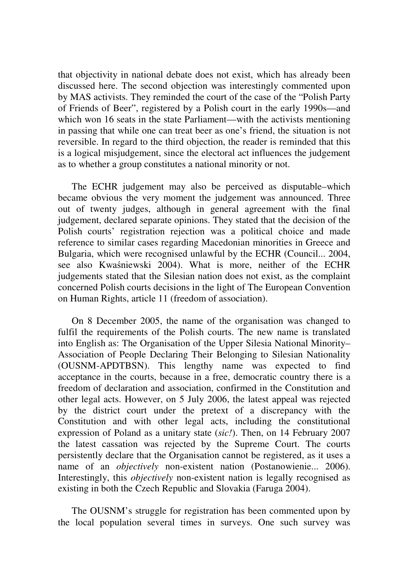that objectivity in national debate does not exist, which has already been discussed here. The second objection was interestingly commented upon by MAS activists. They reminded the court of the case of the "Polish Party of Friends of Beer", registered by a Polish court in the early 1990s—and which won 16 seats in the state Parliament—with the activists mentioning in passing that while one can treat beer as one's friend, the situation is not reversible. In regard to the third objection, the reader is reminded that this is a logical misjudgement, since the electoral act influences the judgement as to whether a group constitutes a national minority or not.

The ECHR judgement may also be perceived as disputable–which became obvious the very moment the judgement was announced. Three out of twenty judges, although in general agreement with the final judgement, declared separate opinions. They stated that the decision of the Polish courts' registration rejection was a political choice and made reference to similar cases regarding Macedonian minorities in Greece and Bulgaria, which were recognised unlawful by the ECHR (Council... 2004, see also Kwaśniewski 2004). What is more, neither of the ECHR judgements stated that the Silesian nation does not exist, as the complaint concerned Polish courts decisions in the light of The European Convention on Human Rights, article 11 (freedom of association).

On 8 December 2005, the name of the organisation was changed to fulfil the requirements of the Polish courts. The new name is translated into English as: The Organisation of the Upper Silesia National Minority– Association of People Declaring Their Belonging to Silesian Nationality (OUSNM-APDTBSN). This lengthy name was expected to find acceptance in the courts, because in a free, democratic country there is a freedom of declaration and association, confirmed in the Constitution and other legal acts. However, on 5 July 2006, the latest appeal was rejected by the district court under the pretext of a discrepancy with the Constitution and with other legal acts, including the constitutional expression of Poland as a unitary state (*sic!*). Then, on 14 February 2007 the latest cassation was rejected by the Supreme Court. The courts persistently declare that the Organisation cannot be registered, as it uses a name of an *objectively* non-existent nation (Postanowienie... 2006). Interestingly, this *objectively* non-existent nation is legally recognised as existing in both the Czech Republic and Slovakia (Faruga 2004).

The OUSNM's struggle for registration has been commented upon by the local population several times in surveys. One such survey was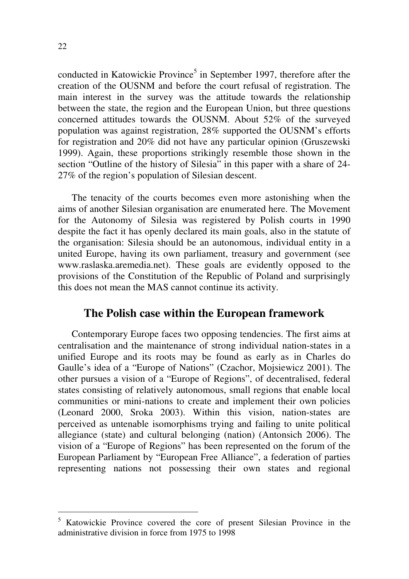conducted in Katowickie Province<sup>5</sup> in September 1997, therefore after the creation of the OUSNM and before the court refusal of registration. The main interest in the survey was the attitude towards the relationship between the state, the region and the European Union, but three questions concerned attitudes towards the OUSNM. About 52% of the surveyed population was against registration, 28% supported the OUSNM's efforts for registration and 20% did not have any particular opinion (Gruszewski 1999). Again, these proportions strikingly resemble those shown in the section "Outline of the history of Silesia" in this paper with a share of 24- 27% of the region's population of Silesian descent.

The tenacity of the courts becomes even more astonishing when the aims of another Silesian organisation are enumerated here. The Movement for the Autonomy of Silesia was registered by Polish courts in 1990 despite the fact it has openly declared its main goals, also in the statute of the organisation: Silesia should be an autonomous, individual entity in a united Europe, having its own parliament, treasury and government (see www.raslaska.aremedia.net). These goals are evidently opposed to the provisions of the Constitution of the Republic of Poland and surprisingly this does not mean the MAS cannot continue its activity.

#### **The Polish case within the European framework**

Contemporary Europe faces two opposing tendencies. The first aims at centralisation and the maintenance of strong individual nation-states in a unified Europe and its roots may be found as early as in Charles do Gaulle's idea of a "Europe of Nations" (Czachor, Mojsiewicz 2001). The other pursues a vision of a "Europe of Regions", of decentralised, federal states consisting of relatively autonomous, small regions that enable local communities or mini-nations to create and implement their own policies (Leonard 2000, Sroka 2003). Within this vision, nation-states are perceived as untenable isomorphisms trying and failing to unite political allegiance (state) and cultural belonging (nation) (Antonsich 2006). The vision of a "Europe of Regions" has been represented on the forum of the European Parliament by "European Free Alliance", a federation of parties representing nations not possessing their own states and regional

-

<sup>5</sup> Katowickie Province covered the core of present Silesian Province in the administrative division in force from 1975 to 1998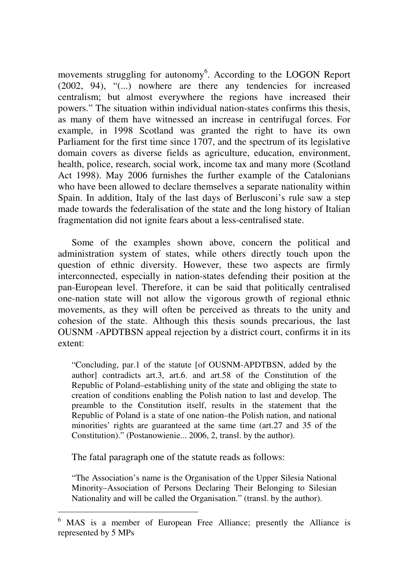movements struggling for autonomy<sup>6</sup>. According to the LOGON Report (2002, 94), "(...) nowhere are there any tendencies for increased centralism; but almost everywhere the regions have increased their powers." The situation within individual nation-states confirms this thesis, as many of them have witnessed an increase in centrifugal forces. For example, in 1998 Scotland was granted the right to have its own Parliament for the first time since 1707, and the spectrum of its legislative domain covers as diverse fields as agriculture, education, environment, health, police, research, social work, income tax and many more (Scotland Act 1998). May 2006 furnishes the further example of the Catalonians who have been allowed to declare themselves a separate nationality within Spain. In addition, Italy of the last days of Berlusconi's rule saw a step made towards the federalisation of the state and the long history of Italian fragmentation did not ignite fears about a less-centralised state.

Some of the examples shown above, concern the political and administration system of states, while others directly touch upon the question of ethnic diversity. However, these two aspects are firmly interconnected, especially in nation-states defending their position at the pan-European level. Therefore, it can be said that politically centralised one-nation state will not allow the vigorous growth of regional ethnic movements, as they will often be perceived as threats to the unity and cohesion of the state. Although this thesis sounds precarious, the last OUSNM -APDTBSN appeal rejection by a district court, confirms it in its extent:

"Concluding, par.1 of the statute [of OUSNM-APDTBSN, added by the author] contradicts art.3, art.6. and art.58 of the Constitution of the Republic of Poland–establishing unity of the state and obliging the state to creation of conditions enabling the Polish nation to last and develop. The preamble to the Constitution itself, results in the statement that the Republic of Poland is a state of one nation–the Polish nation, and national minorities' rights are guaranteed at the same time (art.27 and 35 of the Constitution)." (Postanowienie... 2006, 2, transl. by the author).

The fatal paragraph one of the statute reads as follows:

-

"The Association's name is the Organisation of the Upper Silesia National Minority–Association of Persons Declaring Their Belonging to Silesian Nationality and will be called the Organisation." (transl. by the author).

<sup>6</sup> MAS is a member of European Free Alliance; presently the Alliance is represented by 5 MPs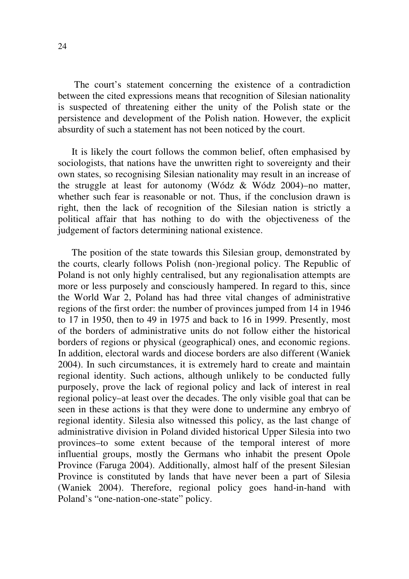The court's statement concerning the existence of a contradiction between the cited expressions means that recognition of Silesian nationality is suspected of threatening either the unity of the Polish state or the persistence and development of the Polish nation. However, the explicit absurdity of such a statement has not been noticed by the court.

It is likely the court follows the common belief, often emphasised by sociologists, that nations have the unwritten right to sovereignty and their own states, so recognising Silesian nationality may result in an increase of the struggle at least for autonomy (Wódz & Wódz 2004)–no matter, whether such fear is reasonable or not. Thus, if the conclusion drawn is right, then the lack of recognition of the Silesian nation is strictly a political affair that has nothing to do with the objectiveness of the judgement of factors determining national existence.

The position of the state towards this Silesian group, demonstrated by the courts, clearly follows Polish (non-)regional policy. The Republic of Poland is not only highly centralised, but any regionalisation attempts are more or less purposely and consciously hampered. In regard to this, since the World War 2, Poland has had three vital changes of administrative regions of the first order: the number of provinces jumped from 14 in 1946 to 17 in 1950, then to 49 in 1975 and back to 16 in 1999. Presently, most of the borders of administrative units do not follow either the historical borders of regions or physical (geographical) ones, and economic regions. In addition, electoral wards and diocese borders are also different (Waniek 2004). In such circumstances, it is extremely hard to create and maintain regional identity. Such actions, although unlikely to be conducted fully purposely, prove the lack of regional policy and lack of interest in real regional policy–at least over the decades. The only visible goal that can be seen in these actions is that they were done to undermine any embryo of regional identity. Silesia also witnessed this policy, as the last change of administrative division in Poland divided historical Upper Silesia into two provinces–to some extent because of the temporal interest of more influential groups, mostly the Germans who inhabit the present Opole Province (Faruga 2004). Additionally, almost half of the present Silesian Province is constituted by lands that have never been a part of Silesia (Waniek 2004). Therefore, regional policy goes hand-in-hand with Poland's "one-nation-one-state" policy.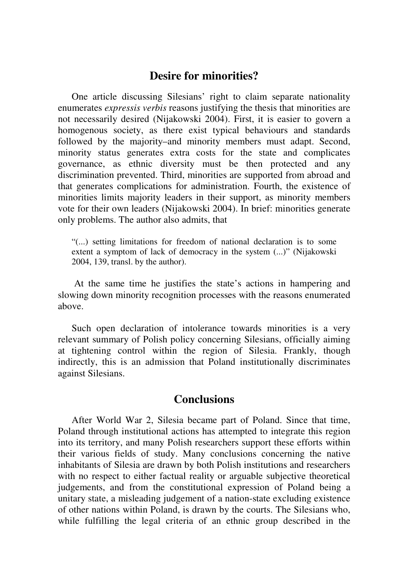#### **Desire for minorities?**

One article discussing Silesians' right to claim separate nationality enumerates *expressis verbis* reasons justifying the thesis that minorities are not necessarily desired (Nijakowski 2004). First, it is easier to govern a homogenous society, as there exist typical behaviours and standards followed by the majority–and minority members must adapt. Second, minority status generates extra costs for the state and complicates governance, as ethnic diversity must be then protected and any discrimination prevented. Third, minorities are supported from abroad and that generates complications for administration. Fourth, the existence of minorities limits majority leaders in their support, as minority members vote for their own leaders (Nijakowski 2004). In brief: minorities generate only problems. The author also admits, that

"(...) setting limitations for freedom of national declaration is to some extent a symptom of lack of democracy in the system (...)" (Nijakowski 2004, 139, transl. by the author).

 At the same time he justifies the state's actions in hampering and slowing down minority recognition processes with the reasons enumerated above.

Such open declaration of intolerance towards minorities is a very relevant summary of Polish policy concerning Silesians, officially aiming at tightening control within the region of Silesia. Frankly, though indirectly, this is an admission that Poland institutionally discriminates against Silesians.

#### **Conclusions**

After World War 2, Silesia became part of Poland. Since that time, Poland through institutional actions has attempted to integrate this region into its territory, and many Polish researchers support these efforts within their various fields of study. Many conclusions concerning the native inhabitants of Silesia are drawn by both Polish institutions and researchers with no respect to either factual reality or arguable subjective theoretical judgements, and from the constitutional expression of Poland being a unitary state, a misleading judgement of a nation-state excluding existence of other nations within Poland, is drawn by the courts. The Silesians who, while fulfilling the legal criteria of an ethnic group described in the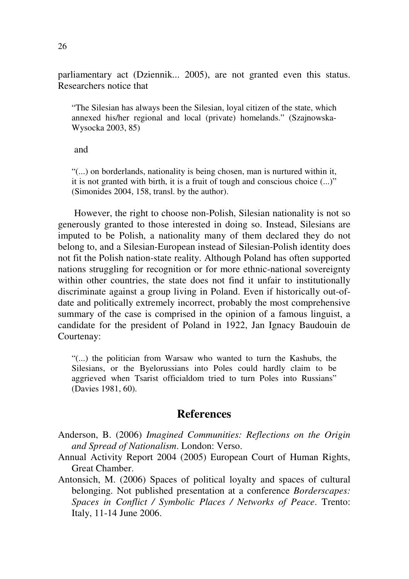parliamentary act (Dziennik... 2005), are not granted even this status. Researchers notice that

"The Silesian has always been the Silesian, loyal citizen of the state, which annexed his/her regional and local (private) homelands." (Szajnowska-Wysocka 2003, 85)

#### and

"(...) on borderlands, nationality is being chosen, man is nurtured within it, it is not granted with birth, it is a fruit of tough and conscious choice (...)" (Simonides 2004, 158, transl. by the author).

 However, the right to choose non-Polish, Silesian nationality is not so generously granted to those interested in doing so. Instead, Silesians are imputed to be Polish, a nationality many of them declared they do not belong to, and a Silesian-European instead of Silesian-Polish identity does not fit the Polish nation-state reality. Although Poland has often supported nations struggling for recognition or for more ethnic-national sovereignty within other countries, the state does not find it unfair to institutionally discriminate against a group living in Poland. Even if historically out-ofdate and politically extremely incorrect, probably the most comprehensive summary of the case is comprised in the opinion of a famous linguist, a candidate for the president of Poland in 1922, Jan Ignacy Baudouin de Courtenay:

"(...) the politician from Warsaw who wanted to turn the Kashubs, the Silesians, or the Byelorussians into Poles could hardly claim to be aggrieved when Tsarist officialdom tried to turn Poles into Russians" (Davies 1981, 60).

#### **References**

Anderson, B. (2006) *Imagined Communities: Reflections on the Origin and Spread of Nationalism*. London: Verso.

- Annual Activity Report 2004 (2005) European Court of Human Rights, Great Chamber.
- Antonsich, M. (2006) Spaces of political loyalty and spaces of cultural belonging. Not published presentation at a conference *Borderscapes: Spaces in Conflict / Symbolic Places / Networks of Peace*. Trento: Italy, 11-14 June 2006.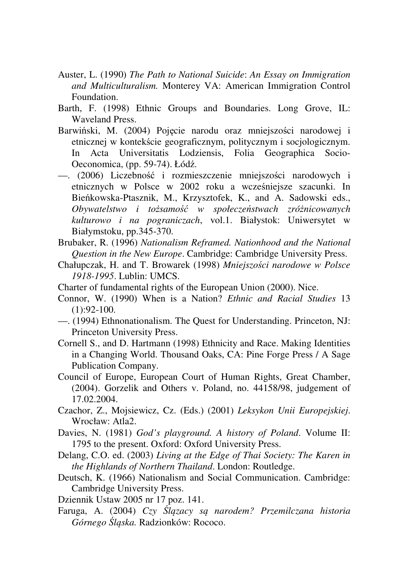- Auster, L. (1990) *The Path to National Suicide*: *An Essay on Immigration and Multiculturalism.* Monterey VA: American Immigration Control Foundation.
- Barth, F. (1998) Ethnic Groups and Boundaries. Long Grove, IL: Waveland Press.
- Barwiński, M. (2004) Pojęcie narodu oraz mniejszości narodowej i etnicznej w kontekście geograficznym, politycznym i socjologicznym. In Acta Universitatis Lodziensis, Folia Geographica Socio-Oeconomica, (pp. 59-74). Łódź.
- —. (2006) Liczebność i rozmieszczenie mniejszości narodowych i etnicznych w Polsce w 2002 roku a wcześniejsze szacunki. In Bieńkowska-Ptasznik, M., Krzysztofek, K., and A. Sadowski eds., *Obywatelstwo i to*ż*samo*ść *w społecze*ń*stwach zró*ż*nicowanych kulturowo i na pograniczach*, vol.1. Białystok: Uniwersytet w Białymstoku, pp.345-370.
- Brubaker, R. (1996) *Nationalism Reframed. Nationhood and the National Question in the New Europe*. Cambridge: Cambridge University Press.
- Chałupczak, H. and T. Browarek (1998) *Mniejszo*ś*ci narodowe w Polsce 1918-1995*. Lublin: UMCS.
- Charter of fundamental rights of the European Union (2000). Nice.
- Connor, W. (1990) When is a Nation? *Ethnic and Racial Studies* 13  $(1):92-100.$
- —. (1994) Ethnonationalism. The Quest for Understanding. Princeton, NJ: Princeton University Press.
- Cornell S., and D. Hartmann (1998) Ethnicity and Race. Making Identities in a Changing World. Thousand Oaks, CA: Pine Forge Press / A Sage Publication Company.
- Council of Europe, European Court of Human Rights, Great Chamber, (2004). Gorzelik and Others v. Poland, no. 44158/98, judgement of 17.02.2004.
- Czachor, Z., Mojsiewicz, Cz. (Eds.) (2001) *Leksykon Unii Europejskiej*. Wrocław: Atla2.
- Davies, N. (1981) *God's playground. A history of Poland*. Volume II: 1795 to the present. Oxford: Oxford University Press.
- Delang, C.O. ed. (2003) *Living at the Edge of Thai Society: The Karen in the Highlands of Northern Thailand*. London: Routledge.
- Deutsch, K. (1966) Nationalism and Social Communication. Cambridge: Cambridge University Press.
- Dziennik Ustaw 2005 nr 17 poz. 141.
- Faruga, A. (2004) *Czy* Ś*l*ą*zacy s*ą *narodem? Przemilczana historia Górnego* Ś*l*ą*ska.* Radzionków: Rococo.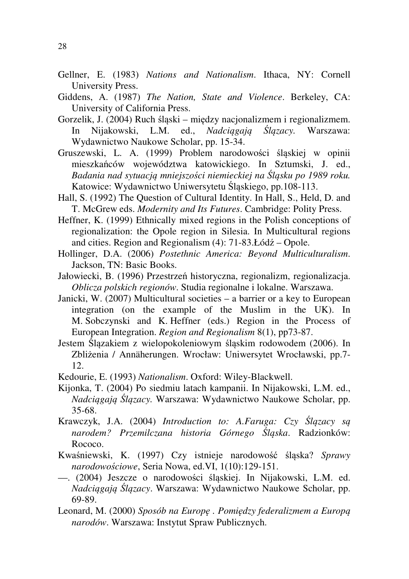- Gellner, E. (1983) *Nations and Nationalism*. Ithaca, NY: Cornell University Press.
- Giddens, A. (1987) *The Nation, State and Violence*. Berkeley, CA: University of California Press.
- Gorzelik, J. (2004) Ruch śląski między nacjonalizmem i regionalizmem. In Nijakowski, L.M. ed., *Nadci*ą*gaj*ą Ś*l*ą*zacy.* Warszawa: Wydawnictwo Naukowe Scholar, pp. 15-34.
- Gruszewski, L. A. (1999) Problem narodowości śląskiej w opinii mieszkańców województwa katowickiego. In Sztumski, J. ed., *Badania nad sytuacj*ą *mniejszo*ś*ci niemieckiej na* Ś*l*ą*sku po 1989 roku.*  Katowice: Wydawnictwo Uniwersytetu Śląskiego, pp.108-113.
- Hall, S. (1992) The Question of Cultural Identity. In Hall, S., Held, D. and T. McGrew eds. *Modernity and Its Futures*. Cambridge: Polity Press.
- Heffner, K. (1999) Ethnically mixed regions in the Polish conceptions of regionalization: the Opole region in Silesia. In Multicultural regions and cities. Region and Regionalism (4): 71-83.Łódź – Opole.
- Hollinger, D.A. (2006) *Postethnic America: Beyond Multiculturalism*. Jackson, TN: Basic Books.
- Jałowiecki, B. (1996) Przestrzeń historyczna, regionalizm, regionalizacja. *Oblicza polskich regionów*. Studia regionalne i lokalne. Warszawa.
- Janicki, W. (2007) Multicultural societies a barrier or a key to European integration (on the example of the Muslim in the UK). In M. Sobczynski and K. Heffner (eds.) Region in the Process of European Integration. *Region and Regionalism* 8(1), pp73-87.
- Jestem Ślązakiem z wielopokoleniowym śląskim rodowodem (2006). In Zbliżenia / Annäherungen. Wrocław: Uniwersytet Wrocławski, pp.7- 12.
- Kedourie, E. (1993) *Nationalism*. Oxford: Wiley-Blackwell.
- Kijonka, T. (2004) Po siedmiu latach kampanii. In Nijakowski, L.M. ed., *Nadci*ą*gaj*ą Ś*l*ą*zacy.* Warszawa: Wydawnictwo Naukowe Scholar, pp. 35-68.
- Krawczyk, J.A. (2004) *Introduction to: A.Faruga: Czy* Ś*l*ą*zacy s*ą *narodem? Przemilczana historia Górnego* Ś*l*ą*ska*. Radzionków: Rococo.
- Kwaśniewski, K. (1997) Czy istnieje narodowość śląska? *Sprawy narodowo*ś*ciowe*, Seria Nowa, ed.VI, 1(10):129-151.
- —. (2004) Jeszcze o narodowości śląskiej. In Nijakowski, L.M. ed. *Nadci*ą*gaj*ą Ś*l*ą*zacy*. Warszawa: Wydawnictwo Naukowe Scholar, pp. 69-89.
- Leonard, M. (2000) *Sposób na Europ*ę *. Pomi*ę*dzy federalizmem a Europ*ą *narodów*. Warszawa: Instytut Spraw Publicznych.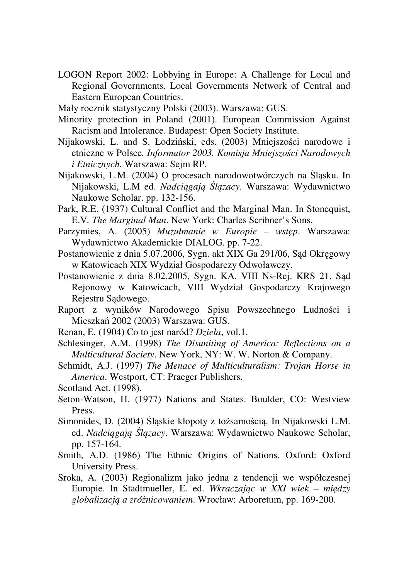LOGON Report 2002: Lobbying in Europe: A Challenge for Local and Regional Governments. Local Governments Network of Central and Eastern European Countries.

Mały rocznik statystyczny Polski (2003). Warszawa: GUS.

- Minority protection in Poland (2001). European Commission Against Racism and Intolerance. Budapest: Open Society Institute.
- Nijakowski, L. and S. Łodziński, eds. (2003) Mniejszości narodowe i etniczne w Polsce*. Informator 2003. Komisja Mniejszo*ś*ci Narodowych i Etnicznych.* Warszawa: Sejm RP.
- Nijakowski, L.M. (2004) O procesach narodowotwórczych na Śląsku. In Nijakowski, L.M ed. *Nadci*ą*gaj*ą Ś*l*ą*zacy*. Warszawa: Wydawnictwo Naukowe Scholar. pp. 132-156.
- Park, R.E. (1937) Cultural Conflict and the Marginal Man. In Stonequist, E.V*. The Marginal Man*. New York: Charles Scribner's Sons.
- Parzymies, A. (2005) *Muzułmanie w Europie wst*ę*p*. Warszawa: Wydawnictwo Akademickie DIALOG. pp. 7-22.
- Postanowienie z dnia 5.07.2006, Sygn. akt XIX Ga 291/06, Sąd Okręgowy w Katowicach XIX Wydział Gospodarczy Odwoławczy.
- Postanowienie z dnia 8.02.2005, Sygn. KA. VIII Ns-Rej. KRS 21, Sąd Rejonowy w Katowicach, VIII Wydział Gospodarczy Krajowego Rejestru Sądowego.
- Raport z wyników Narodowego Spisu Powszechnego Ludności i Mieszkań 2002 (2003) Warszawa: GUS.
- Renan, E. (1904) Co to jest naród? *Dzieła*, vol.1.
- Schlesinger, A.M. (1998) *The Disuniting of America: Reflections on a Multicultural Society*. New York, NY: W. W. Norton & Company.
- Schmidt, A.J. (1997) *The Menace of Multiculturalism: Trojan Horse in America*. Westport, CT: Praeger Publishers.
- Scotland Act, (1998).
- Seton-Watson, H. (1977) Nations and States. Boulder, CO: Westview Press.
- Simonides, D. (2004) Śląskie kłopoty z tożsamością. In Nijakowski L.M. ed. *Nadci*ą*gaj*ą Ś*l*ą*zacy*. Warszawa: Wydawnictwo Naukowe Scholar, pp. 157-164.
- Smith, A.D. (1986) The Ethnic Origins of Nations. Oxford: Oxford University Press.
- Sroka, A. (2003) Regionalizm jako jedna z tendencji we współczesnej Europie. In Stadtmueller, E. ed. *Wkraczaj*ą*c w XXI wiek – mi*ę*dzy globalizacj*ą *a zró*ż*nicowaniem*. Wrocław: Arboretum, pp. 169-200.